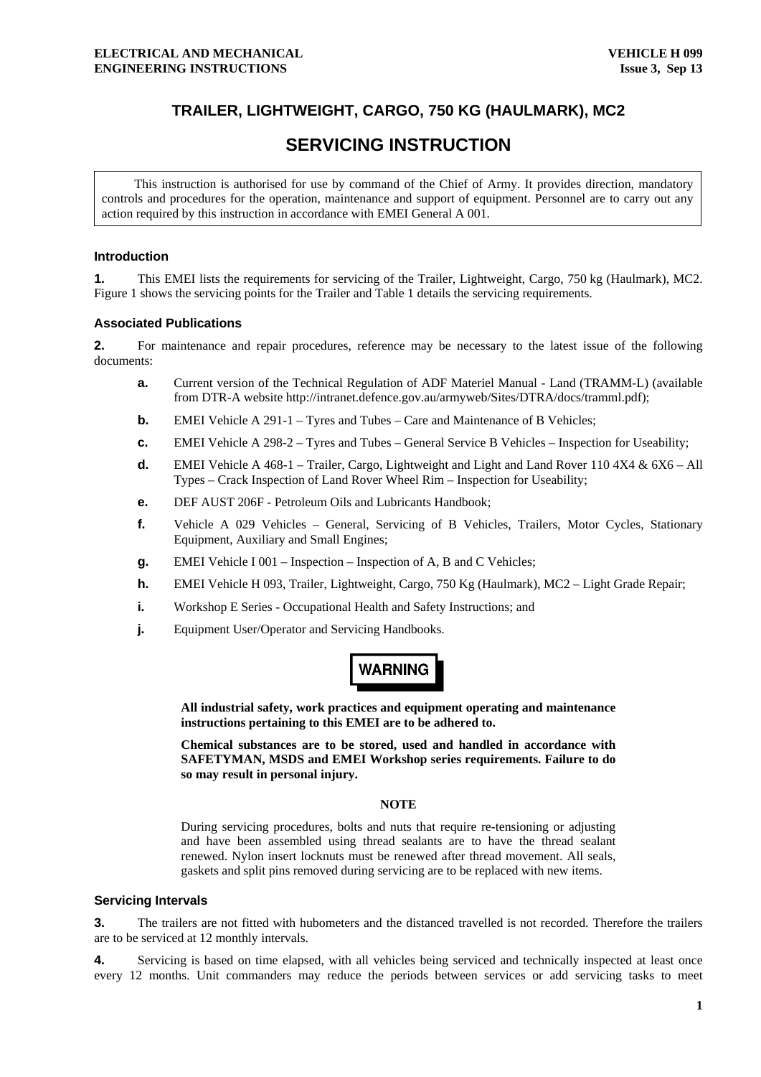### **TRAILER, LIGHTWEIGHT, CARGO, 750 KG (HAULMARK), MC2**

## **SERVICING INSTRUCTION**

This instruction is authorised for use by command of the Chief of Army. It provides direction, mandatory controls and procedures for the operation, maintenance and support of equipment. Personnel are to carry out any action required by this instruction in accordance with EMEI General A 001.

#### **Introduction**

**1.** This EMEI lists the requirements for servicing of the Trailer, Lightweight, Cargo, 750 kg (Haulmark), MC2. Figure 1 shows the servicing points for the Trailer and Table 1 details the servicing requirements.

#### **Associated Publications**

**2.** For maintenance and repair procedures, reference may be necessary to the latest issue of the following documents:

- **a.** Current version of the Technical Regulation of ADF Materiel Manual Land (TRAMM-L) (available from DTR-A website http://intranet.defence.gov.au/armyweb/Sites/DTRA/docs/tramml.pdf);
- **b. EMEI Vehicle A 291-1 Tyres and Tubes Care and Maintenance of B Vehicles;**
- **c.** EMEI Vehicle A 298-2 Tyres and Tubes General Service B Vehicles Inspection for Useability;
- **d.** EMEI Vehicle A 468-1 Trailer, Cargo, Lightweight and Light and Land Rover 110 4X4 & 6X6 All Types – Crack Inspection of Land Rover Wheel Rim – Inspection for Useability;
- **e.** DEF AUST 206F Petroleum Oils and Lubricants Handbook;
- **f.** Vehicle A 029 Vehicles General, Servicing of B Vehicles, Trailers, Motor Cycles, Stationary Equipment, Auxiliary and Small Engines;
- **g.** EMEI Vehicle I 001 Inspection Inspection of A, B and C Vehicles;
- **h.** EMEI Vehicle H 093, Trailer, Lightweight, Cargo, 750 Kg (Haulmark), MC2 Light Grade Repair;
- **i.** Workshop E Series Occupational Health and Safety Instructions; and
- **j.** Equipment User/Operator and Servicing Handbooks.

# **WARNING**

**All industrial safety, work practices and equipment operating and maintenance instructions pertaining to this EMEI are to be adhered to.** 

**Chemical substances are to be stored, used and handled in accordance with SAFETYMAN, MSDS and EMEI Workshop series requirements. Failure to do so may result in personal injury.** 

#### **NOTE**

During servicing procedures, bolts and nuts that require re-tensioning or adjusting and have been assembled using thread sealants are to have the thread sealant renewed. Nylon insert locknuts must be renewed after thread movement. All seals, gaskets and split pins removed during servicing are to be replaced with new items.

#### **Servicing Intervals**

**3.** The trailers are not fitted with hubometers and the distanced travelled is not recorded. Therefore the trailers are to be serviced at 12 monthly intervals.

**4.** Servicing is based on time elapsed, with all vehicles being serviced and technically inspected at least once every 12 months. Unit commanders may reduce the periods between services or add servicing tasks to meet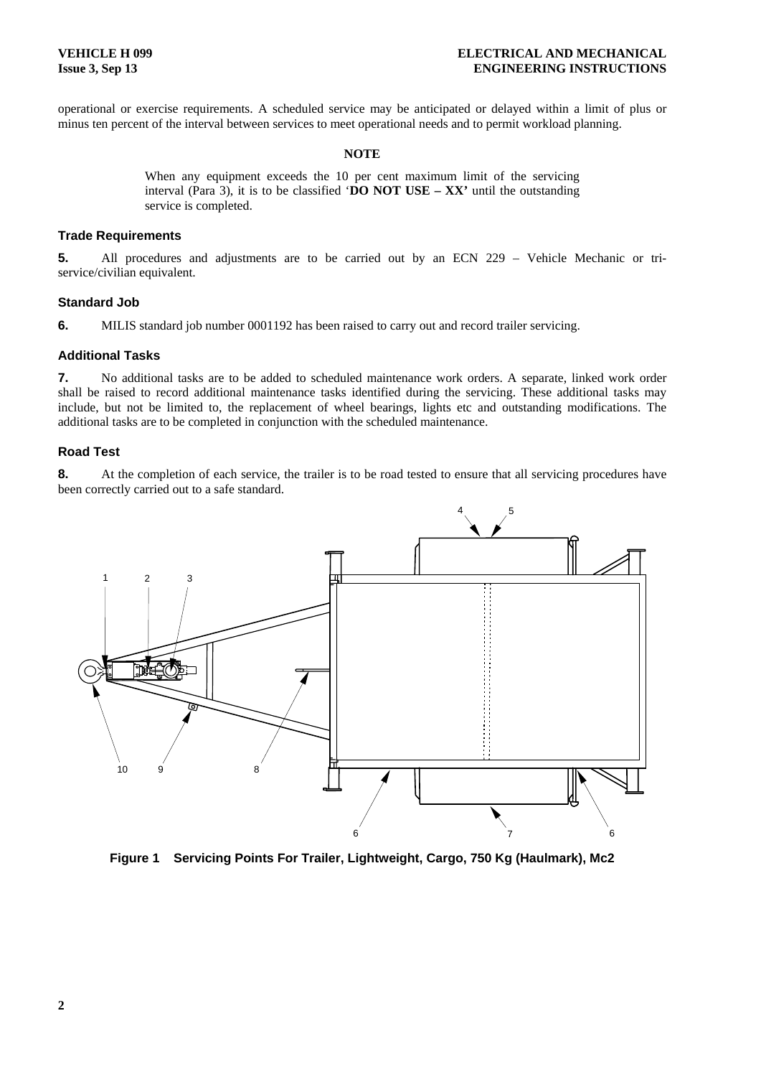operational or exercise requirements. A scheduled service may be anticipated or delayed within a limit of plus or minus ten percent of the interval between services to meet operational needs and to permit workload planning.

#### **NOTE**

When any equipment exceeds the 10 per cent maximum limit of the servicing interval (Para 3), it is to be classified '**DO NOT USE – XX'** until the outstanding service is completed.

#### **Trade Requirements**

**5.** All procedures and adjustments are to be carried out by an ECN 229 – Vehicle Mechanic or triservice/civilian equivalent.

#### **Standard Job**

**6.** MILIS standard job number 0001192 has been raised to carry out and record trailer servicing.

#### **Additional Tasks**

**7.** No additional tasks are to be added to scheduled maintenance work orders. A separate, linked work order shall be raised to record additional maintenance tasks identified during the servicing. These additional tasks may include, but not be limited to, the replacement of wheel bearings, lights etc and outstanding modifications. The additional tasks are to be completed in conjunction with the scheduled maintenance.

#### **Road Test**

**8.** At the completion of each service, the trailer is to be road tested to ensure that all servicing procedures have been correctly carried out to a safe standard.



**Figure 1 Servicing Points For Trailer, Lightweight, Cargo, 750 Kg (Haulmark), Mc2**